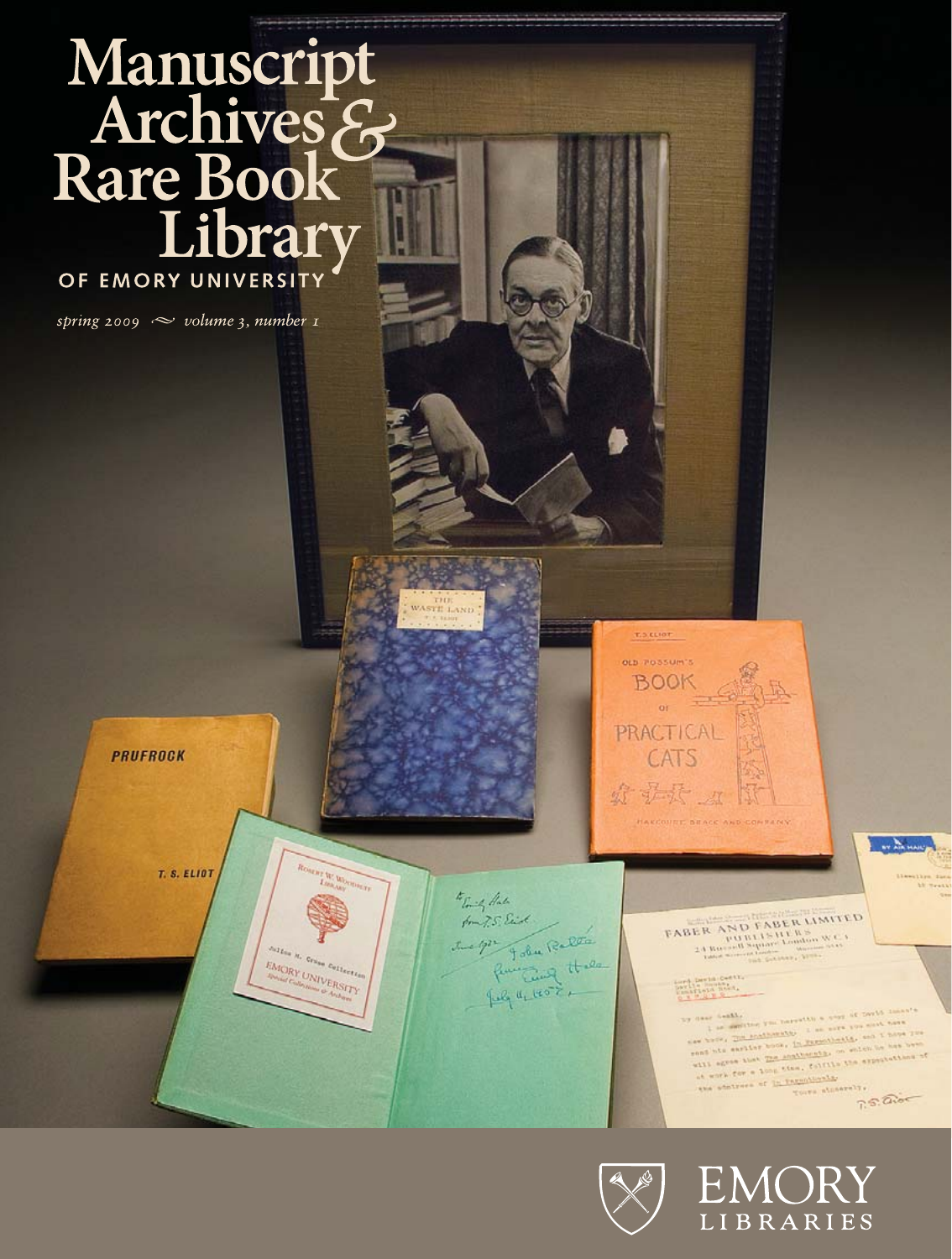# Manuscript<br>Archives&<br>Rare Book<br>Library OF EMORY UNIVERSITY

spring 2009  $\sim$  volume 3, number 1

**PRUFROCK** 

**T. S. ELIOT** 

Julian M. Crass Collection **EMORY UNIVERSITY** 

Tomaty Hale  $\frac{3}{25}$  Exist John Ralta fining there

TE LAND

FABER AND FABER LIMITED

慅

島民

**CALIFORNIA** 

TO CLIDT OLD POSSUM'S

**BOOK** or  $\overline{A}$ PRACTICAL CATS

分录状点

the stations of 12 taxonically , and the sea  $7.5.$  aior

 $\mathcal{L}_{\text{tot}}$ 



EMORY LIBRARIES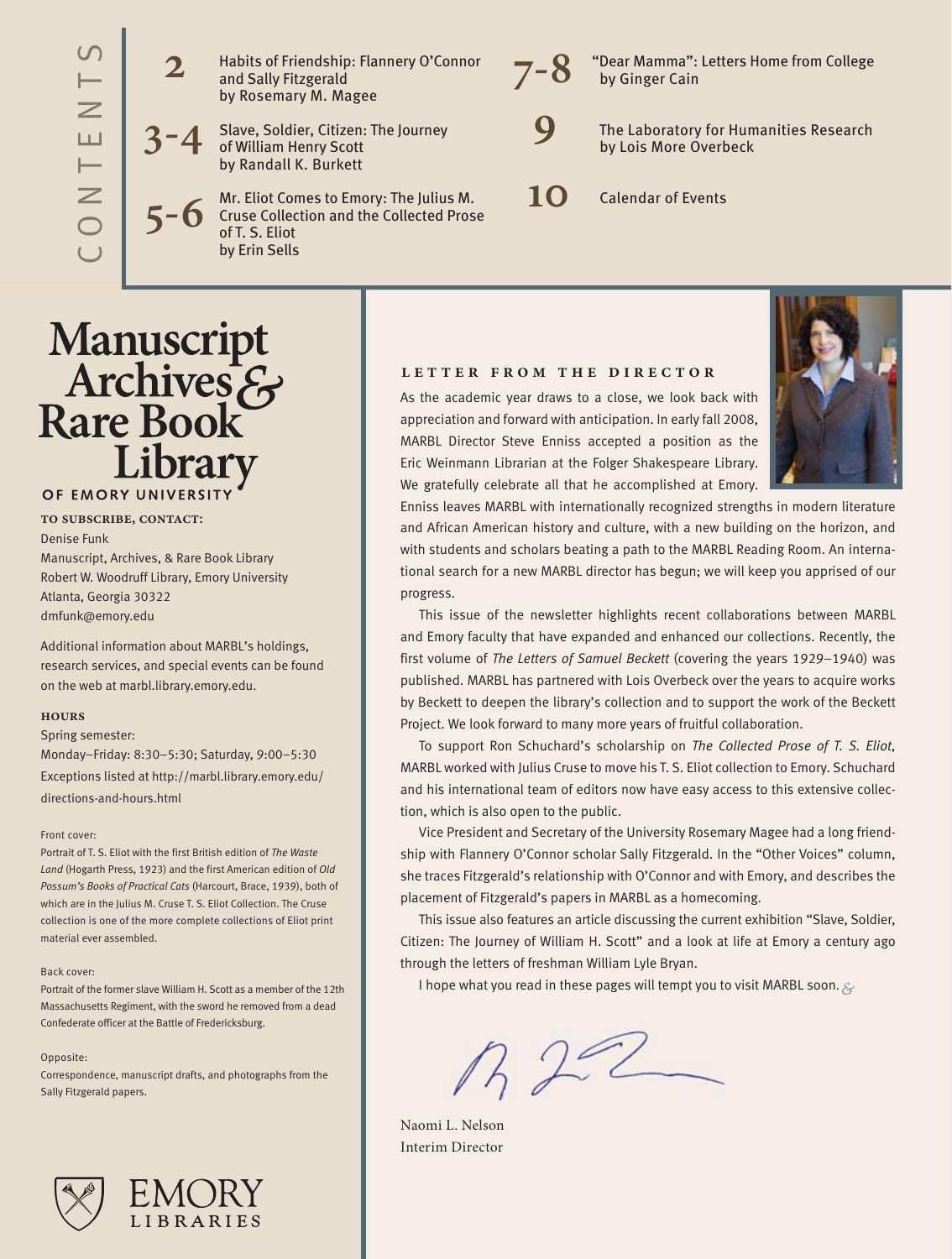Habits of Friendship: Flannery O'Connor and Sally Fitzgerald by Rosemary M. Magee

**3-4** Slave, Soldier, Citizen: The Journey of William Henry Scott by Randall K. Burkett

**5-6** Mr. Eliot Comes to Emory: The Julius M. Cruse Collection and the Collected Prose of T. S. Eliot by Erin Sells

**7-8** "Dear Mamma": Letters Home from College

**9**

 The Laboratory for Humanities Research by Lois More Overbeck

10 Calendar of Events

by Ginger Cain

# Sally Fitzgerald papers.<br>The Manuscript Control of the Manuscript Control of the Wally Control of the Wangler Control of the Manuscript, Archive Robert W. Woodruff Atlanta, Georgia 30<br>dmfunk@emory.ed Additional informatese Manuscript<br>Archives&<br>Rare Book Librar OF EMORY UNIVERSITY

**2**

**To subscribe, contact:**

Denise Funk Manuscript, Archives, & Rare Book Library Robert W. Woodruff Library, Emory University Atlanta, Georgia 30322 dmfunk@emory.edu

Additional information about MARBL's holdings, research services, and special events can be found on the web at marbl.library.emory.edu.

#### **hours**

Spring semester:

Monday–Friday: 8:30–5:30; Saturday, 9:00–5:30 Exceptions listed at http://marbl.library.emory.edu/ directions-and-hours.html

#### Front cover:

Portrait of T. S. Eliot with the first British edition of *The Waste Land* (Hogarth Press, 1923) and the first American edition of *Old Possum's Books of Practical Cats* (Harcourt, Brace, 1939), both of which are in the Julius M. Cruse T. S. Eliot Collection. The Cruse collection is one of the more complete collections of Eliot print material ever assembled.

#### Back cover:

Portrait of the former slave William H. Scott as a member of the 12th Massachusetts Regiment, with the sword he removed from a dead Confederate officer at the Battle of Fredericksburg.

#### Opposite:

Correspondence, manuscript drafts, and photographs from the Sally Fitzgerald papers.



#### AC IRY LIBRARIES

#### **letter from the director**

As the academic year draws to a close, we look back with appreciation and forward with anticipation. In early fall 2008, MARBL Director Steve Enniss accepted a position as the Eric Weinmann Librarian at the Folger Shakespeare Library. We gratefully celebrate all that he accomplished at Emory.



Enniss leaves MARBL with internationally recognized strengths in modern literature and African American history and culture, with a new building on the horizon, and with students and scholars beating a path to the MARBL Reading Room. An international search for a new MARBL director has begun; we will keep you apprised of our progress.

 This issue of the newsletter highlights recent collaborations between MARBL and Emory faculty that have expanded and enhanced our collections. Recently, the first volume of *The Letters of Samuel Beckett* (covering the years 1929–1940) was published. MARBL has partnered with Lois Overbeck over the years to acquire works by Beckett to deepen the library's collection and to support the work of the Beckett Project. We look forward to many more years of fruitful collaboration.

 To support Ron Schuchard's scholarship on *The Collected Prose of T. S. Eliot*, MARBL worked with Julius Cruse to move his T. S. Eliot collection to Emory. Schuchard and his international team of editors now have easy access to this extensive collection, which is also open to the public.

 Vice President and Secretary of the University Rosemary Magee had a long friendship with Flannery O'Connor scholar Sally Fitzgerald. In the "Other Voices" column, she traces Fitzgerald's relationship with O'Connor and with Emory, and describes the placement of Fitzgerald's papers in MARBL as a homecoming.

 This issue also features an article discussing the current exhibition "Slave, Soldier, Citizen: The Journey of William H. Scott" and a look at life at Emory a century ago through the letters of freshman William Lyle Bryan.

I hope what you read in these pages will tempt you to visit MARBL soon.  $\mathfrak{g}_2$ 

 $22$ 

Naomi L. Nelson Interim Director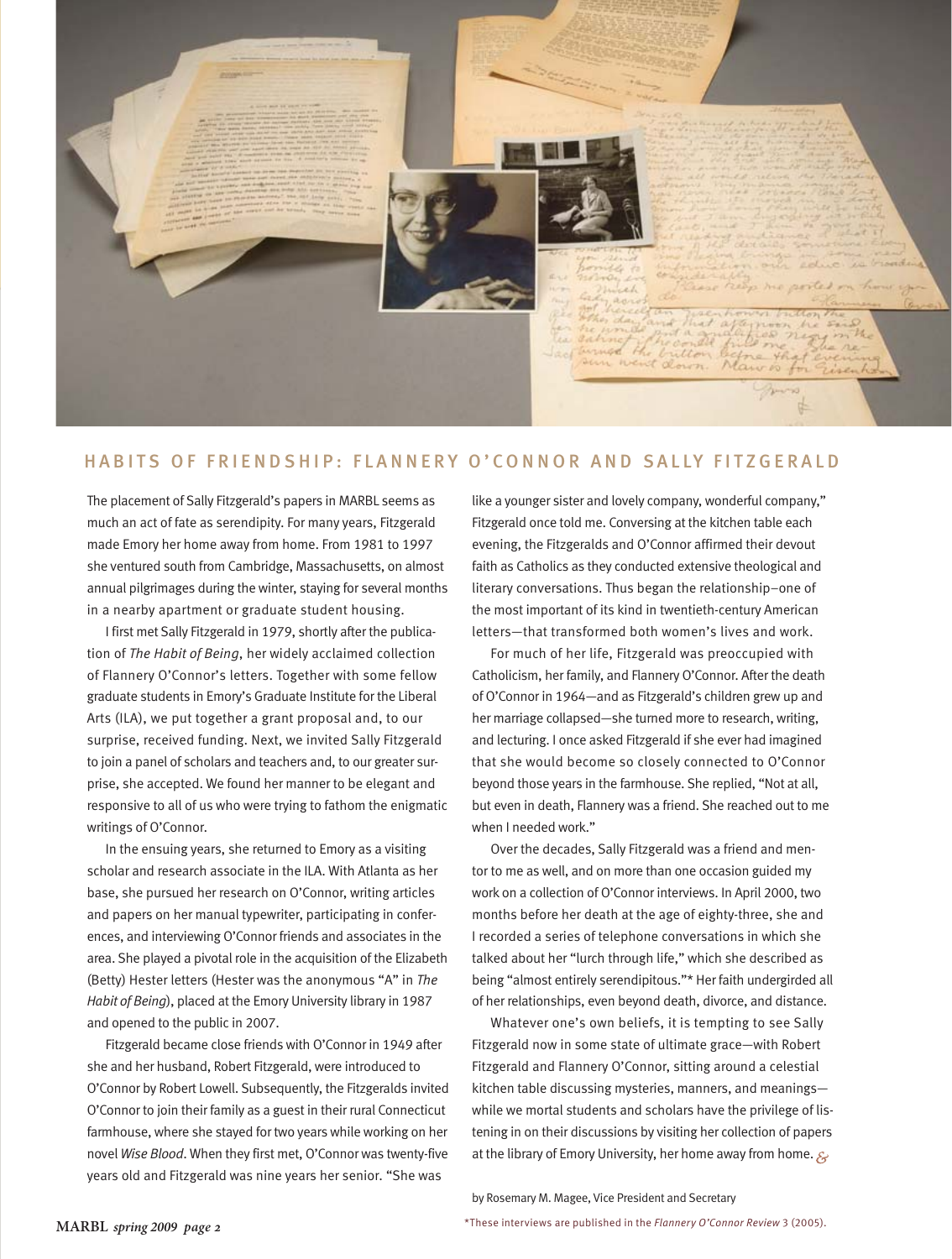

#### HABITS OF FRIENDSHIP: FLANNERY O'CONNOR AND SALLY FITZGERALD

The placement of Sally Fitzgerald's papers in MARBL seems as much an act of fate as serendipity. For many years, Fitzgerald made Emory her home away from home. From 1981 to 1997 she ventured south from Cambridge, Massachusetts, on almost annual pilgrimages during the winter, staying for several months in a nearby apartment or graduate student housing.

 I first met Sally Fitzgerald in 1979, shortly after the publication of *The Habit of Being*, her widely acclaimed collection of Flannery O'Connor's letters. Together with some fellow graduate students in Emory's Graduate Institute for the Liberal Arts (ILA), we put together a grant proposal and, to our surprise, received funding. Next, we invited Sally Fitzgerald to join a panel of scholars and teachers and, to our greater surprise, she accepted. We found her manner to be elegant and responsive to all of us who were trying to fathom the enigmatic writings of O'Connor.

 In the ensuing years, she returned to Emory as a visiting scholar and research associate in the ILA. With Atlanta as her base, she pursued her research on O'Connor, writing articles and papers on her manual typewriter, participating in conferences, and interviewing O'Connor friends and associates in the area. She played a pivotal role in the acquisition of the Elizabeth (Betty) Hester letters (Hester was the anonymous "A" in *The Habit of Being*), placed at the Emory University library in 1987 and opened to the public in 2007.

 Fitzgerald became close friends with O'Connor in 1949 after she and her husband, Robert Fitzgerald, were introduced to O'Connor by Robert Lowell. Subsequently, the Fitzgeralds invited O'Connor to join their family as a guest in their rural Connecticut farmhouse, where she stayed for two years while working on her novel *Wise Blood*. When they first met, O'Connor was twenty-five years old and Fitzgerald was nine years her senior. "She was

like a younger sister and lovely company, wonderful company," Fitzgerald once told me. Conversing at the kitchen table each evening, the Fitzgeralds and O'Connor affirmed their devout faith as Catholics as they conducted extensive theological and literary conversations. Thus began the relationship–one of the most important of its kind in twentieth-century American letters—that transformed both women's lives and work.

 For much of her life, Fitzgerald was preoccupied with Catholicism, her family, and Flannery O'Connor. After the death of O'Connor in 1964—and as Fitzgerald's children grew up and her marriage collapsed—she turned more to research, writing, and lecturing. I once asked Fitzgerald if she ever had imagined that she would become so closely connected to O'Connor beyond those years in the farmhouse. She replied, "Not at all, but even in death, Flannery was a friend. She reached out to me when I needed work."

 Over the decades, Sally Fitzgerald was a friend and mentor to me as well, and on more than one occasion guided my work on a collection of O'Connor interviews. In April 2000, two months before her death at the age of eighty-three, she and I recorded a series of telephone conversations in which she talked about her "lurch through life," which she described as being "almost entirely serendipitous."\* Her faith undergirded all of her relationships, even beyond death, divorce, and distance.

 Whatever one's own beliefs, it is tempting to see Sally Fitzgerald now in some state of ultimate grace—with Robert Fitzgerald and Flannery O'Connor, sitting around a celestial kitchen table discussing mysteries, manners, and meanings while we mortal students and scholars have the privilege of listening in on their discussions by visiting her collection of papers at the library of Emory University, her home away from home.  $\mathcal{L}$ 

by Rosemary M. Magee, Vice President and Secretary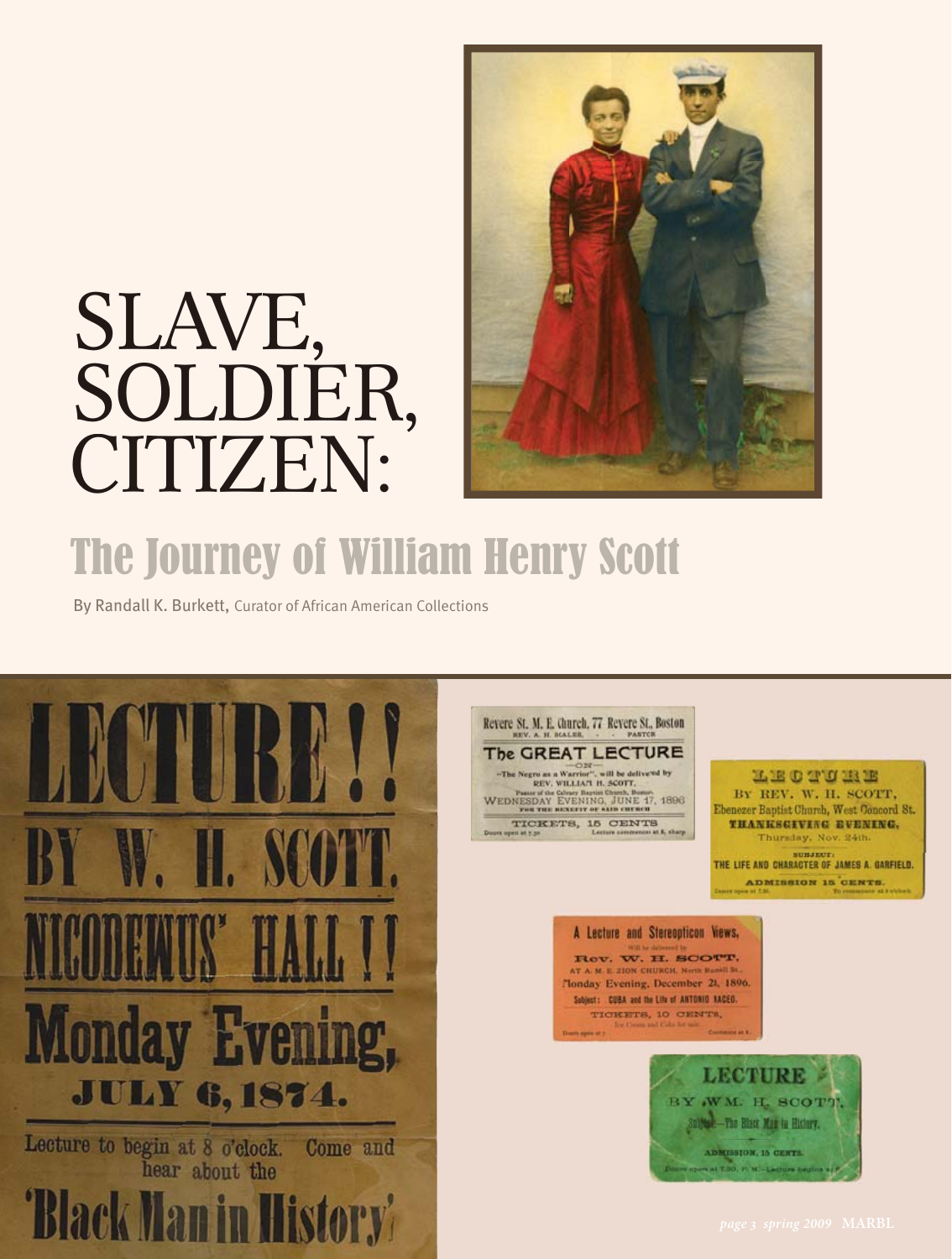# SLAVE, SOLDIER, CITIZEN:



## The Journey of William Henry Scott

By Randall K. Burkett, Curator of African American Collections

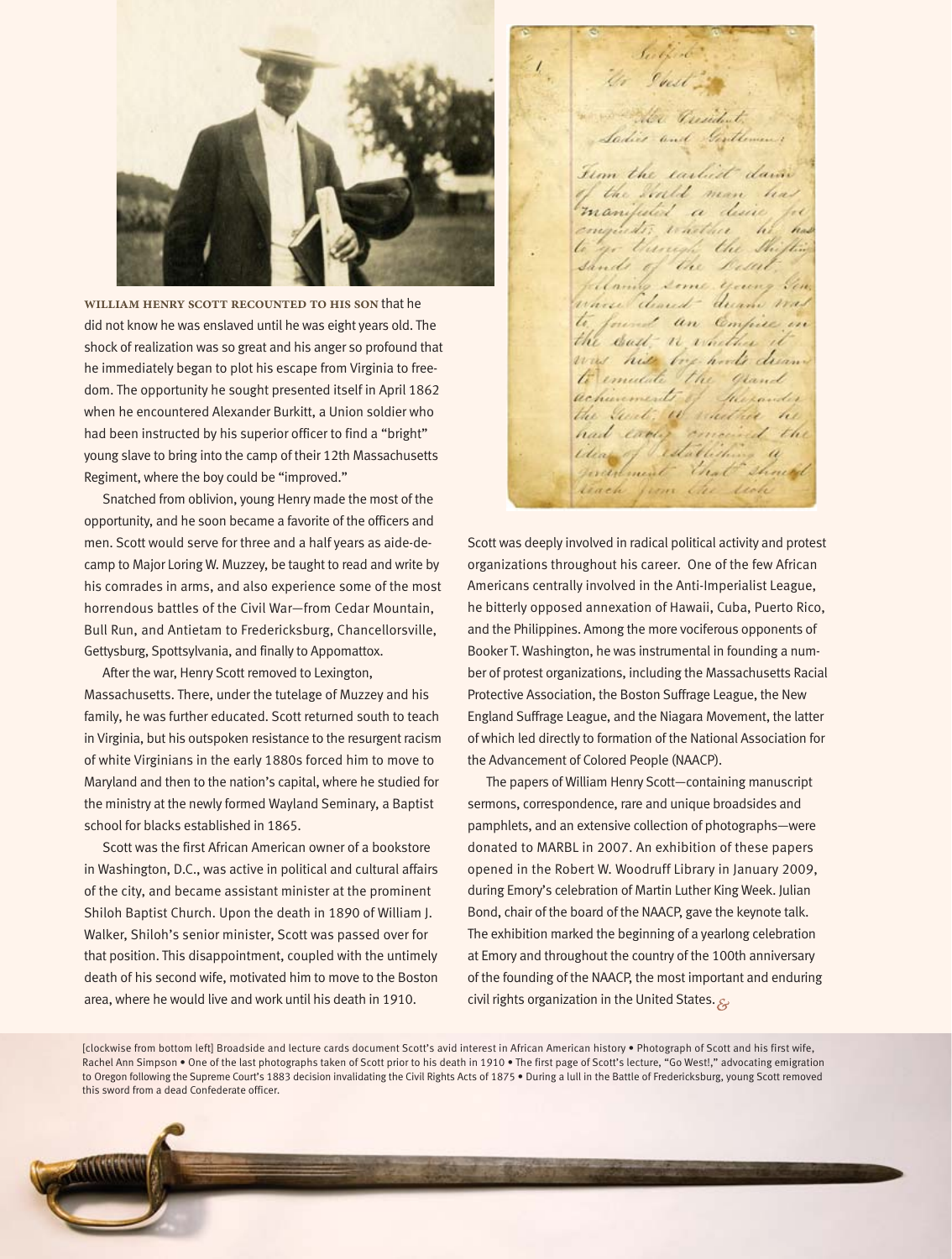

**William Henry Scott recounted to his son** that he did not know he was enslaved until he was eight years old. The shock of realization was so great and his anger so profound that he immediately began to plot his escape from Virginia to freedom. The opportunity he sought presented itself in April 1862 when he encountered Alexander Burkitt, a Union soldier who had been instructed by his superior officer to find a "bright" young slave to bring into the camp of their 12th Massachusetts Regiment, where the boy could be "improved."

 Snatched from oblivion, young Henry made the most of the opportunity, and he soon became a favorite of the officers and men. Scott would serve for three and a half years as aide-decamp to Major Loring W. Muzzey, be taught to read and write by his comrades in arms, and also experience some of the most horrendous battles of the Civil War—from Cedar Mountain, Bull Run, and Antietam to Fredericksburg, Chancellorsville, Gettysburg, Spottsylvania, and finally to Appomattox.

 After the war, Henry Scott removed to Lexington, Massachusetts. There, under the tutelage of Muzzey and his family, he was further educated. Scott returned south to teach in Virginia, but his outspoken resistance to the resurgent racism of white Virginians in the early 1880s forced him to move to Maryland and then to the nation's capital, where he studied for the ministry at the newly formed Wayland Seminary, a Baptist school for blacks established in 1865.

 Scott was the first African American owner of a bookstore in Washington, D.C., was active in political and cultural affairs of the city, and became assistant minister at the prominent Shiloh Baptist Church. Upon the death in 1890 of William J. Walker, Shiloh's senior minister, Scott was passed over for that position. This disappointment, coupled with the untimely death of his second wife, motivated him to move to the Boston area, where he would live and work until his death in 1910.

**MARBL** *fall 2008 page 4*

Subject the South See and the Cresident Sadies and Gentleman tion the earliest dance the sould man manifested  $\alpha$ dune conguedis. tracture thenigh the Sh the Detail Unity Lome young Very varce deand duan was lound an Compile in the ball in whither it hill boy hoods decan emulate the grand hierements of Salexander Sunt, W sheller he had each) concered the eduction a That should Forcentment liach from the lich

Scott was deeply involved in radical political activity and protest organizations throughout his career. One of the few African Americans centrally involved in the Anti-Imperialist League, he bitterly opposed annexation of Hawaii, Cuba, Puerto Rico, and the Philippines. Among the more vociferous opponents of Booker T. Washington, he was instrumental in founding a number of protest organizations, including the Massachusetts Racial Protective Association, the Boston Suffrage League, the New England Suffrage League, and the Niagara Movement, the latter of which led directly to formation of the National Association for the Advancement of Colored People (NAACP).

 The papers of William Henry Scott—containing manuscript sermons, correspondence, rare and unique broadsides and pamphlets, and an extensive collection of photographs—were donated to MARBL in 2007. An exhibition of these papers opened in the Robert W. Woodruff Library in January 2009, during Emory's celebration of Martin Luther King Week. Julian Bond, chair of the board of the NAACP, gave the keynote talk. The exhibition marked the beginning of a yearlong celebration at Emory and throughout the country of the 100th anniversary of the founding of the NAACP, the most important and enduring civil rights organization in the United States.

[clockwise from bottom left] Broadside and lecture cards document Scott's avid interest in African American history • Photograph of Scott and his first wife, Rachel Ann Simpson . One of the last photographs taken of Scott prior to his death in 1910 . The first page of Scott's lecture, "Go West!," advocating emigration to Oregon following the Supreme Court's 1883 decision invalidating the Civil Rights Acts of 1875 • During a lull in the Battle of Fredericksburg, young Scott removed this sword from a dead Confederate officer.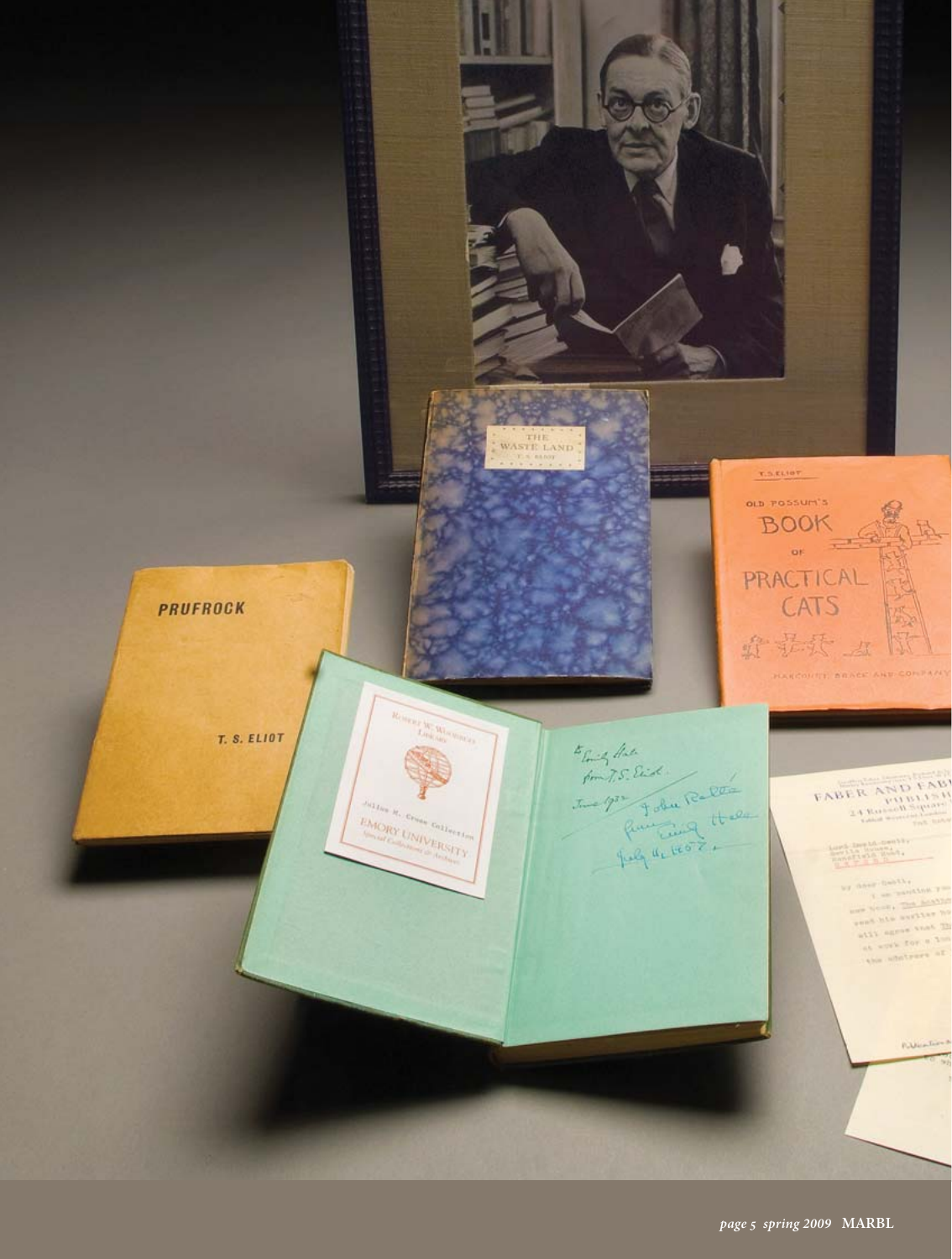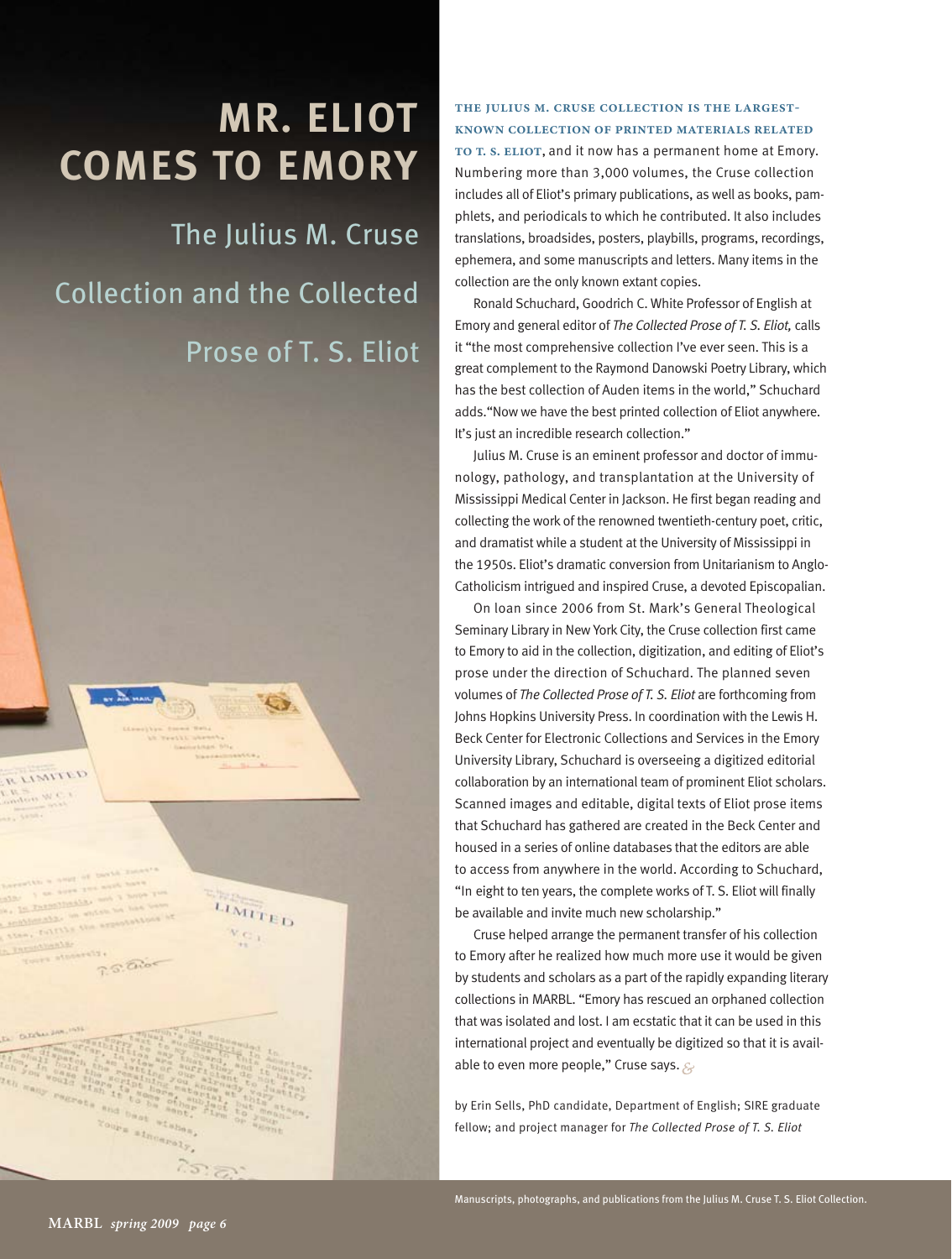### **MR. ELIOT COMES TO EMORY**

The Julius M. Cruse Collection and the Collected Prose of T. S. Eliot

RUMITED

LIMITED  $75.210$ 

THE JULIUS M. CRUSE COLLECTION IS THE LARGEST**known collection of printed materials related** 

**to T. S. Eliot**, and it now has a permanent home at Emory. Numbering more than 3,000 volumes, the Cruse collection includes all of Eliot's primary publications, as well as books, pamphlets, and periodicals to which he contributed. It also includes translations, broadsides, posters, playbills, programs, recordings, ephemera, and some manuscripts and letters. Many items in the collection are the only known extant copies.

 Ronald Schuchard, Goodrich C. White Professor of English at Emory and general editor of *The Collected Prose of T. S. Eliot,* calls it "the most comprehensive collection I've ever seen. This is a great complement to the Raymond Danowski Poetry Library, which has the best collection of Auden items in the world," Schuchard adds."Now we have the best printed collection of Eliot anywhere. It's just an incredible research collection."

 Julius M. Cruse is an eminent professor and doctor of immunology, pathology, and transplantation at the University of Mississippi Medical Center in Jackson. He first began reading and collecting the work of the renowned twentieth-century poet, critic, and dramatist while a student at the University of Mississippi in the 1950s. Eliot's dramatic conversion from Unitarianism to Anglo-Catholicism intrigued and inspired Cruse, a devoted Episcopalian.

On loan since 2006 from St. Mark's General Theological Seminary Library in New York City, the Cruse collection first came to Emory to aid in the collection, digitization, and editing of Eliot's prose under the direction of Schuchard. The planned seven volumes of *The Collected Prose of T. S. Eliot* are forthcoming from Johns Hopkins University Press. In coordination with the Lewis H. Beck Center for Electronic Collections and Services in the Emory University Library, Schuchard is overseeing a digitized editorial collaboration by an international team of prominent Eliot scholars. Scanned images and editable, digital texts of Eliot prose items that Schuchard has gathered are created in the Beck Center and housed in a series of online databases that the editors are able to access from anywhere in the world. According to Schuchard, "In eight to ten years, the complete works of T. S. Eliot will finally be available and invite much new scholarship."

 Cruse helped arrange the permanent transfer of his collection to Emory after he realized how much more use it would be given by students and scholars as a part of the rapidly expanding literary collections in MARBL. "Emory has rescued an orphaned collection that was isolated and lost. I am ecstatic that it can be used in this international project and eventually be digitized so that it is available to even more people," Cruse says.  $\mathcal{L}$ 

by Erin Sells, PhD candidate, Department of English; SIRE graduate fellow; and project manager for *The Collected Prose of T. S. Eliot*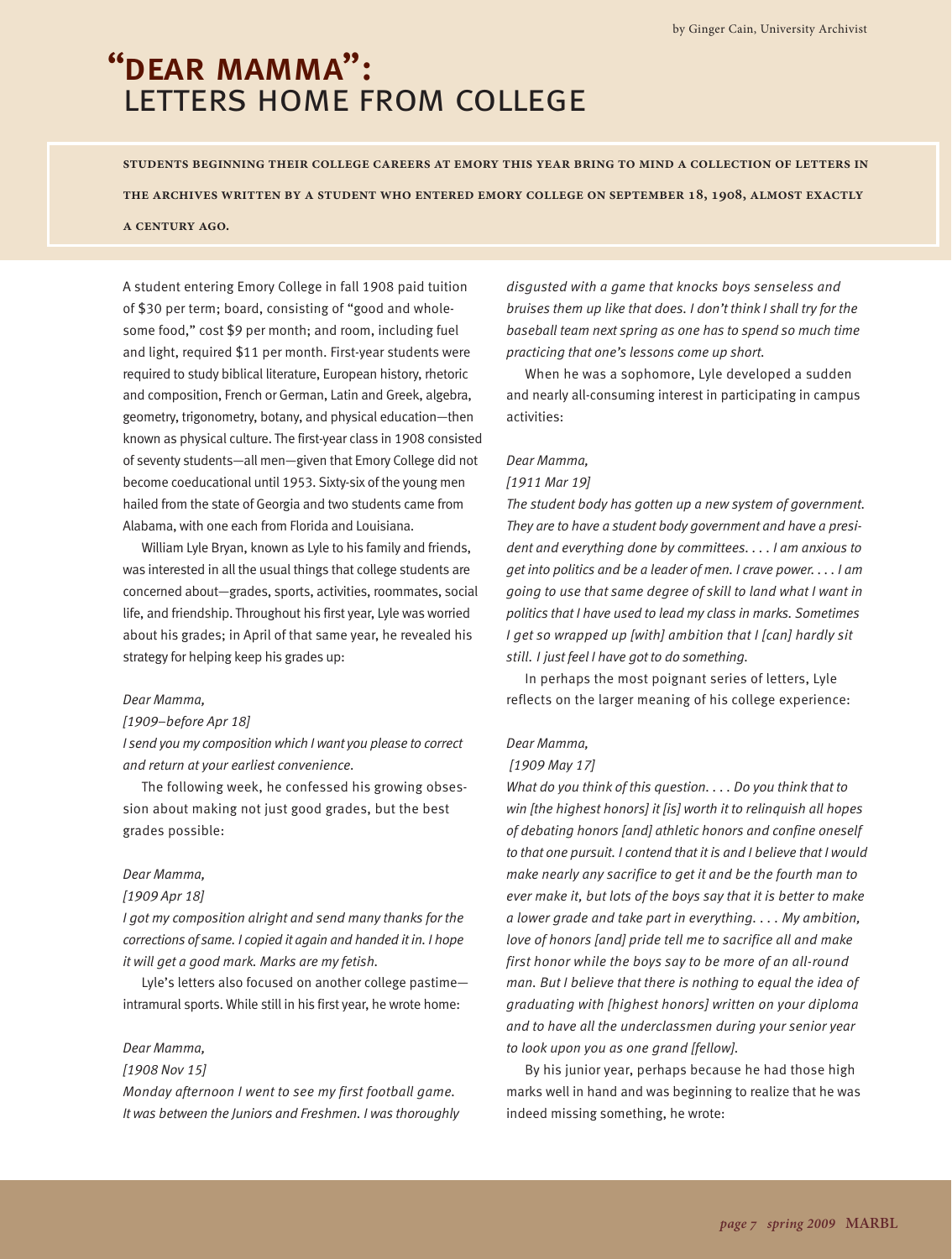#### "dear mamma": letters home from college

**Students beginning their college careers at Emory this year bring to mind a collection of letters in the archives written by a student who entered Emory College on September 18, 1908, almost exactly a century ago.**

A student entering Emory College in fall 1908 paid tuition of \$30 per term; board, consisting of "good and wholesome food," cost \$9 per month; and room, including fuel and light, required \$11 per month. First-year students were required to study biblical literature, European history, rhetoric and composition, French or German, Latin and Greek, algebra, geometry, trigonometry, botany, and physical education—then known as physical culture. The first-year class in 1908 consisted of seventy students—all men—given that Emory College did not become coeducational until 1953. Sixty-six of the young men hailed from the state of Georgia and two students came from Alabama, with one each from Florida and Louisiana.

 William Lyle Bryan, known as Lyle to his family and friends, was interested in all the usual things that college students are concerned about—grades, sports, activities, roommates, social life, and friendship. Throughout his first year, Lyle was worried about his grades; in April of that same year, he revealed his strategy for helping keep his grades up:

#### *Dear Mamma,*

#### *[1909–before Apr 18]*

*I send you my composition which I want you please to correct and return at your earliest convenience.*

The following week, he confessed his growing obsession about making not just good grades, but the best grades possible:

#### *Dear Mamma,*

#### *[1909 Apr 18]*

*I got my composition alright and send many thanks for the corrections of same. I copied it again and handed it in. I hope it will get a good mark. Marks are my fetish.*

Lyle's letters also focused on another college pastime intramural sports. While still in his first year, he wrote home:

#### *Dear Mamma,*

#### *[1908 Nov 15]*

*Monday afternoon I went to see my first football game. It was between the Juniors and Freshmen. I was thoroughly* 

*disgusted with a game that knocks boys senseless and bruises them up like that does. I don't think I shall try for the baseball team next spring as one has to spend so much time practicing that one's lessons come up short.*

When he was a sophomore, Lyle developed a sudden and nearly all-consuming interest in participating in campus activities:

#### *Dear Mamma,*

#### *[1911 Mar 19]*

*The student body has gotten up a new system of government. They are to have a student body government and have a president and everything done by committees. . . . I am anxious to get into politics and be a leader of men. I crave power. . . . I am going to use that same degree of skill to land what I want in politics that I have used to lead my class in marks. Sometimes I get so wrapped up [with] ambition that I [can] hardly sit still. I just feel I have got to do something.*

In perhaps the most poignant series of letters, Lyle reflects on the larger meaning of his college experience:

#### *Dear Mamma,*

#### *[1909 May 17]*

*What do you think of this question. . . . Do you think that to win [the highest honors] it [is] worth it to relinquish all hopes of debating honors [and] athletic honors and confine oneself to that one pursuit. I contend that it is and I believe that I would make nearly any sacrifice to get it and be the fourth man to ever make it, but lots of the boys say that it is better to make a lower grade and take part in everything. . . . My ambition, love of honors [and] pride tell me to sacrifice all and make first honor while the boys say to be more of an all-round man. But I believe that there is nothing to equal the idea of graduating with [highest honors] written on your diploma and to have all the underclassmen during your senior year to look upon you as one grand [fellow].*

By his junior year, perhaps because he had those high marks well in hand and was beginning to realize that he was indeed missing something, he wrote: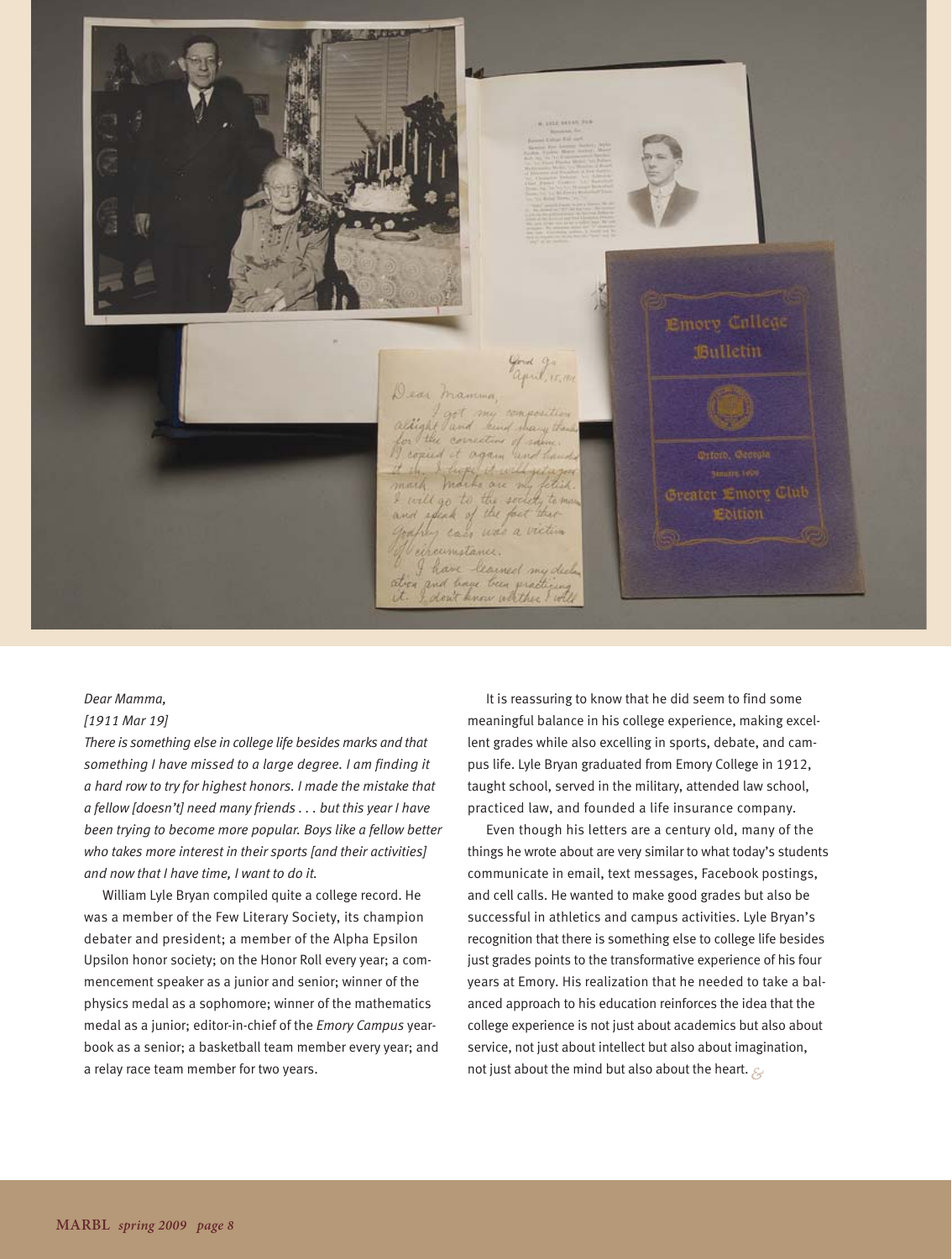

#### *Dear Mamma,*

#### *[1911 Mar 19]*

*There is something else in college life besides marks and that something I have missed to a large degree. I am finding it a hard row to try for highest honors. I made the mistake that a fellow [doesn't] need many friends . . . but this year I have been trying to become more popular. Boys like a fellow better who takes more interest in their sports [and their activities] and now that I have time, I want to do it.*

William Lyle Bryan compiled quite a college record. He was a member of the Few Literary Society, its champion debater and president; a member of the Alpha Epsilon Upsilon honor society; on the Honor Roll every year; a commencement speaker as a junior and senior; winner of the physics medal as a sophomore; winner of the mathematics medal as a junior; editor-in-chief of the *Emory Campus* yearbook as a senior; a basketball team member every year; and a relay race team member for two years.

 It is reassuring to know that he did seem to find some meaningful balance in his college experience, making excellent grades while also excelling in sports, debate, and campus life. Lyle Bryan graduated from Emory College in 1912, taught school, served in the military, attended law school, practiced law, and founded a life insurance company.

 Even though his letters are a century old, many of the things he wrote about are very similar to what today's students communicate in email, text messages, Facebook postings, and cell calls. He wanted to make good grades but also be successful in athletics and campus activities. Lyle Bryan's recognition that there is something else to college life besides just grades points to the transformative experience of his four years at Emory. His realization that he needed to take a balanced approach to his education reinforces the idea that the college experience is not just about academics but also about service, not just about intellect but also about imagination, not just about the mind but also about the heart.  $\mathcal{L}$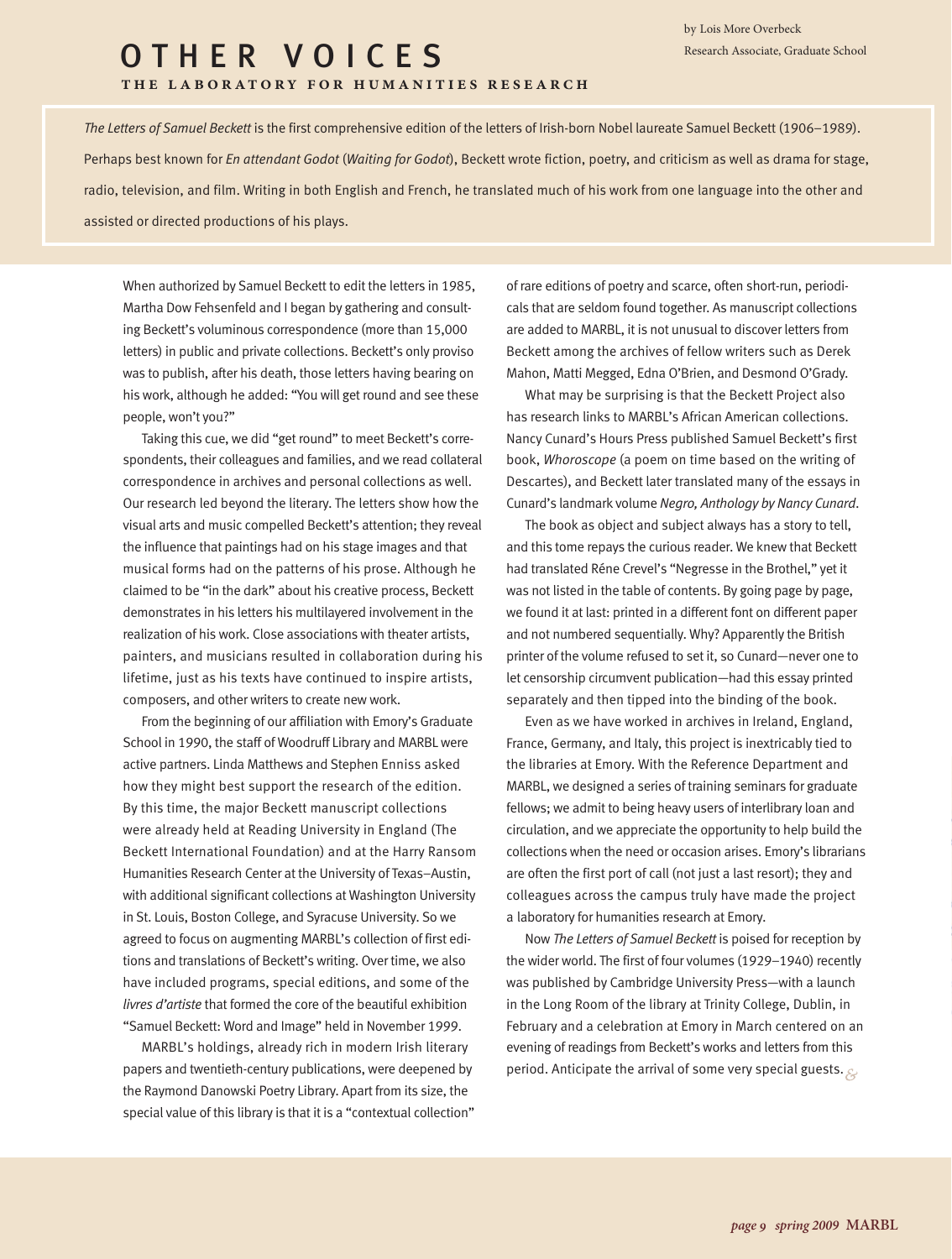#### **the laboratory for humanities research** OTHER VOICES

*The Letters of Samuel Beckett* is the first comprehensive edition of the letters of Irish-born Nobel laureate Samuel Beckett (1906–1989). Perhaps best known for *En attendant Godot* (*Waiting for Godot*), Beckett wrote fiction, poetry, and criticism as well as drama for stage, radio, television, and film. Writing in both English and French, he translated much of his work from one language into the other and assisted or directed productions of his plays.

When authorized by Samuel Beckett to edit the letters in 1985, Martha Dow Fehsenfeld and I began by gathering and consulting Beckett's voluminous correspondence (more than 15,000 letters) in public and private collections. Beckett's only proviso was to publish, after his death, those letters having bearing on his work, although he added: "You will get round and see these people, won't you?"

Taking this cue, we did "get round" to meet Beckett's correspondents, their colleagues and families, and we read collateral correspondence in archives and personal collections as well. Our research led beyond the literary. The letters show how the visual arts and music compelled Beckett's attention; they reveal the influence that paintings had on his stage images and that musical forms had on the patterns of his prose. Although he claimed to be "in the dark" about his creative process, Beckett demonstrates in his letters his multilayered involvement in the realization of his work. Close associations with theater artists, painters, and musicians resulted in collaboration during his lifetime, just as his texts have continued to inspire artists, composers, and other writers to create new work.

 From the beginning of our affiliation with Emory's Graduate School in 1990, the staff of Woodruff Library and MARBL were active partners. Linda Matthews and Stephen Enniss asked how they might best support the research of the edition. By this time, the major Beckett manuscript collections were already held at Reading University in England (The Beckett International Foundation) and at the Harry Ransom Humanities Research Center at the University of Texas–Austin, with additional significant collections at Washington University in St. Louis, Boston College, and Syracuse University. So we agreed to focus on augmenting MARBL's collection of first editions and translations of Beckett's writing. Over time, we also have included programs, special editions, and some of the *livres d'artiste* that formed the core of the beautiful exhibition "Samuel Beckett: Word and Image" held in November 1999.

 MARBL's holdings, already rich in modern Irish literary papers and twentieth-century publications, were deepened by the Raymond Danowski Poetry Library. Apart from its size, the special value of this library is that it is a "contextual collection" of rare editions of poetry and scarce, often short-run, periodicals that are seldom found together. As manuscript collections are added to MARBL, it is not unusual to discover letters from Beckett among the archives of fellow writers such as Derek Mahon, Matti Megged, Edna O'Brien, and Desmond O'Grady.

 What may be surprising is that the Beckett Project also has research links to MARBL's African American collections. Nancy Cunard's Hours Press published Samuel Beckett's first book, *Whoroscope* (a poem on time based on the writing of Descartes), and Beckett later translated many of the essays in Cunard's landmark volume *Negro, Anthology by Nancy Cunard*.

 The book as object and subject always has a story to tell, and this tome repays the curious reader. We knew that Beckett had translated Réne Crevel's "Negresse in the Brothel," yet it was not listed in the table of contents. By going page by page, we found it at last: printed in a different font on different paper and not numbered sequentially. Why? Apparently the British printer of the volume refused to set it, so Cunard—never one to let censorship circumvent publication—had this essay printed separately and then tipped into the binding of the book.

 Even as we have worked in archives in Ireland, England, France, Germany, and Italy, this project is inextricably tied to the libraries at Emory. With the Reference Department and MARBL, we designed a series of training seminars for graduate fellows; we admit to being heavy users of interlibrary loan and circulation, and we appreciate the opportunity to help build the collections when the need or occasion arises. Emory's librarians are often the first port of call (not just a last resort); they and colleagues across the campus truly have made the project a laboratory for humanities research at Emory.

 Now *The Letters of Samuel Beckett* is poised for reception by the wider world. The first of four volumes (1929–1940) recently was published by Cambridge University Press—with a launch in the Long Room of the library at Trinity College, Dublin, in February and a celebration at Emory in March centered on an evening of readings from Beckett's works and letters from this period. Anticipate the arrival of some very special guests.  $\mathcal{L}$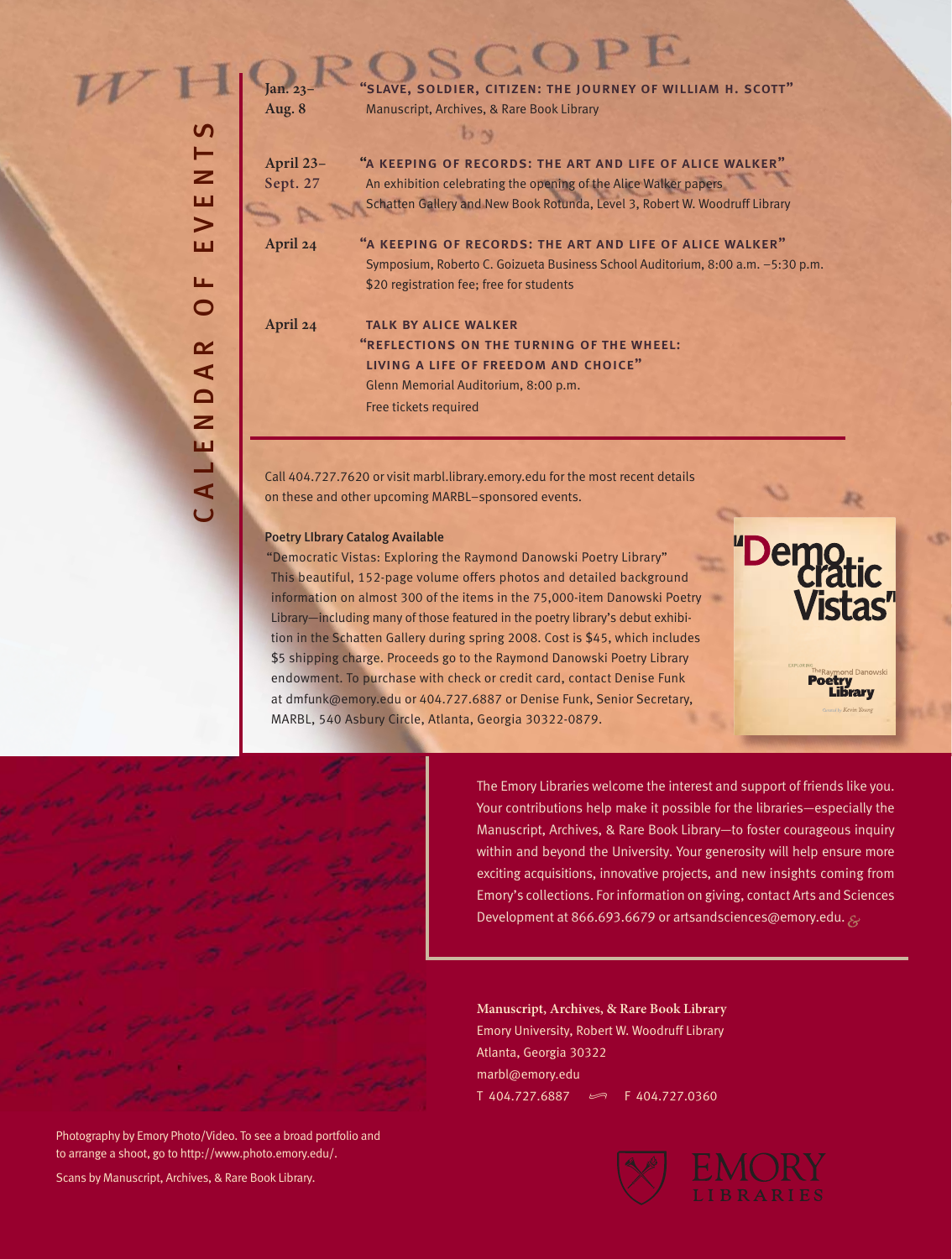| Jan. 23–  | "SLAVE, SOLDIER, CITIZEN: THE JOURNEY OF WILLIAM H. SCOTT"                      |
|-----------|---------------------------------------------------------------------------------|
| Aug. 8    | Manuscript, Archives, & Rare Book Library                                       |
|           |                                                                                 |
| April 23- | "A KEEPING OF RECORDS: THE ART AND LIFE OF ALICE WALKER"                        |
| Sept. 27  | An exhibition celebrating the opening of the Alice Walker papers                |
|           | Schatten Gallery and New Book Rotunda, Level 3, Robert W. Woodruff Library      |
| April 24  | "A KEEPING OF RECORDS: THE ART AND LIFE OF ALICE WALKER"                        |
|           | Symposium, Roberto C. Goizueta Business School Auditorium, 8:00 a.m. -5:30 p.m. |
|           | \$20 registration fee; free for students                                        |
| April 24  | <b>TALK BY ALICE WALKER</b>                                                     |
|           | "REFLECTIONS ON THE TURNING OF THE WHEEL:                                       |
|           | LIVING A LIFE OF FREEDOM AND CHOICE"                                            |
|           | Glenn Memorial Auditorium, 8:00 p.m.                                            |
|           | Free tickets required                                                           |
|           |                                                                                 |
|           |                                                                                 |

Call 404.727.7620 or visit marbl.library.emory.edu for the most recent details on these and other upcoming MARBL–sponsored events.

#### Poetry LIbrary Catalog Available

"Democratic Vistas: Exploring the Raymond Danowski Poetry Library" This beautiful, 152-page volume offers photos and detailed background information on almost 300 of the items in the 75,000-item Danowski Poetry Library—including many of those featured in the poetry library's debut exhibition in the Schatten Gallery during spring 2008. Cost is \$45, which includes \$5 shipping charge. Proceeds go to the Raymond Danowski Poetry Library endowment. To purchase with check or credit card, contact Denise Funk at dmfunk@emory.edu or 404.727.6887 or Denise Funk, Senior Secretary, MARBL, 540 Asbury Circle, Atlanta, Georgia 30322-0879.

> The Emory Libraries welcome the interest and support of friends like you. Your contributions help make it possible for the libraries—especially the Manuscript, Archives, & Rare Book Library—to foster courageous inquiry within and beyond the University. Your generosity will help ensure more exciting acquisitions, innovative projects, and new insights coming from Emory's collections. For information on giving, contact Arts and Sciences Development at 866.693.6679 or artsandsciences@emory.edu.  $\beta$

Den

**Poetry** Library

**Manuscript, Archives, & Rare Book Library** Emory University, Robert W. Woodruff Library Atlanta, Georgia 30322 marbl@emory.edu T 404.727.6887 F 404.727.0360

Photography by Emory Photo/Video. To see a broad portfolio and to arrange a shoot, go to http://www.photo.emory.edu/.

CALENDAR OF EVENTS

 $\alpha$  $\blacktriangleleft$  $\overline{\mathbf{C}}$ Z ш ٩  $\blacktriangleleft$ 

ш 0

 $\overline{\mathbf{z}}$ ш  $\geq$ ш

Scans by Manuscript, Archives, & Rare Book Library.